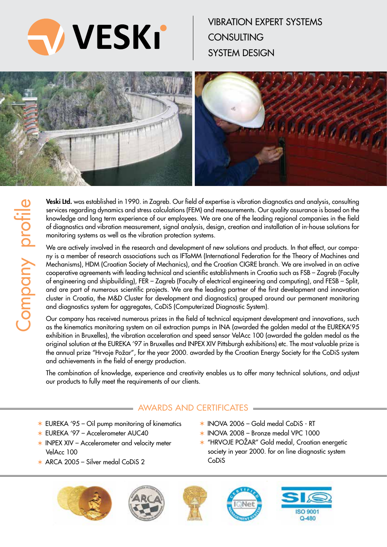

vibration expert systems **CONSULTING** system design



**Veski Ltd.** was established in 1990. in Zagreb. Our field of expertise is vibration diagnostics and analysis, consulting services regarding dynamics and stress calculations (FEM) and measurements. Our quality assurance is based on the knowledge and long term experience of our employees. We are one of the leading regional companies in the field of diagnostics and vibration measurement, signal analysis, design, creation and installation of in-house solutions for monitoring systems as well as the vibration protection systems.

We are actively involved in the research and development of new solutions and products. In that effect, our company is a member of research associations such as IFToMM (International Federation for the Theory of Machines and Mechanisms), HDM (Croatian Society of Mechanics), and the Croatian CIGRE branch. We are involved in an active cooperative agreements with leading technical and scientific establishments in Croatia such as FSB - Zagreb (Faculty of engineering and shipbuilding), FER - Zagreb (Faculty of electrical engineering and computing), and FESB - Split, and are part of numerous scientific projects. We are the leading partner of the first development and innovation cluster in Croatia, the M&D Cluster for development and diagnostics) grouped around our permanent monitoring and diagnostics system for aggregates, CoDiS (Computerized Diagnostic System).

Our company has received numerous prizes in the field of technical equipment development and innovations, such as the kinematics monitoring system on oil extraction pumps in INA (awarded the golden medal at the EUREKA'95 exhibition in Bruxelles), the vibration acceleration and speed sensor VelAcc 100 (awarded the golden medal as the original solution at the EUREKA '97 in Bruxelles and INPEX XIV Pittsburgh exhibitions) etc. The most valuable prize is the annual prize "Hrvoje Požar", for the year 2000. awarded by the Croatian Energy Society for the CoDiS system and achievements in the field of energy production.

The combination of knowledge, experience and creativity enables us to offer many technical solutions, and adjust our products to fully meet the requirements of our clients.

CoDiS

# Awards and certificates

- $*$  EUREKA '95 Oil pump monitoring of kinematics
- $*$  EUREKA '97 Accelerometer AUC40
- $*$  INPEX XIV Accelerometer and velocity meter VelAcc 100
- $\star$  ARCA 2005 Silver medal CoDiS 2









 $*$  INOVA 2006 – Gold medal CoDiS - RT  $*$  INOVA 2008 - Bronze medal VPC 1000

 "HRVOJE POŽAR" Gold medal, Croatian energetic society in year 2000. for on line diagnostic system